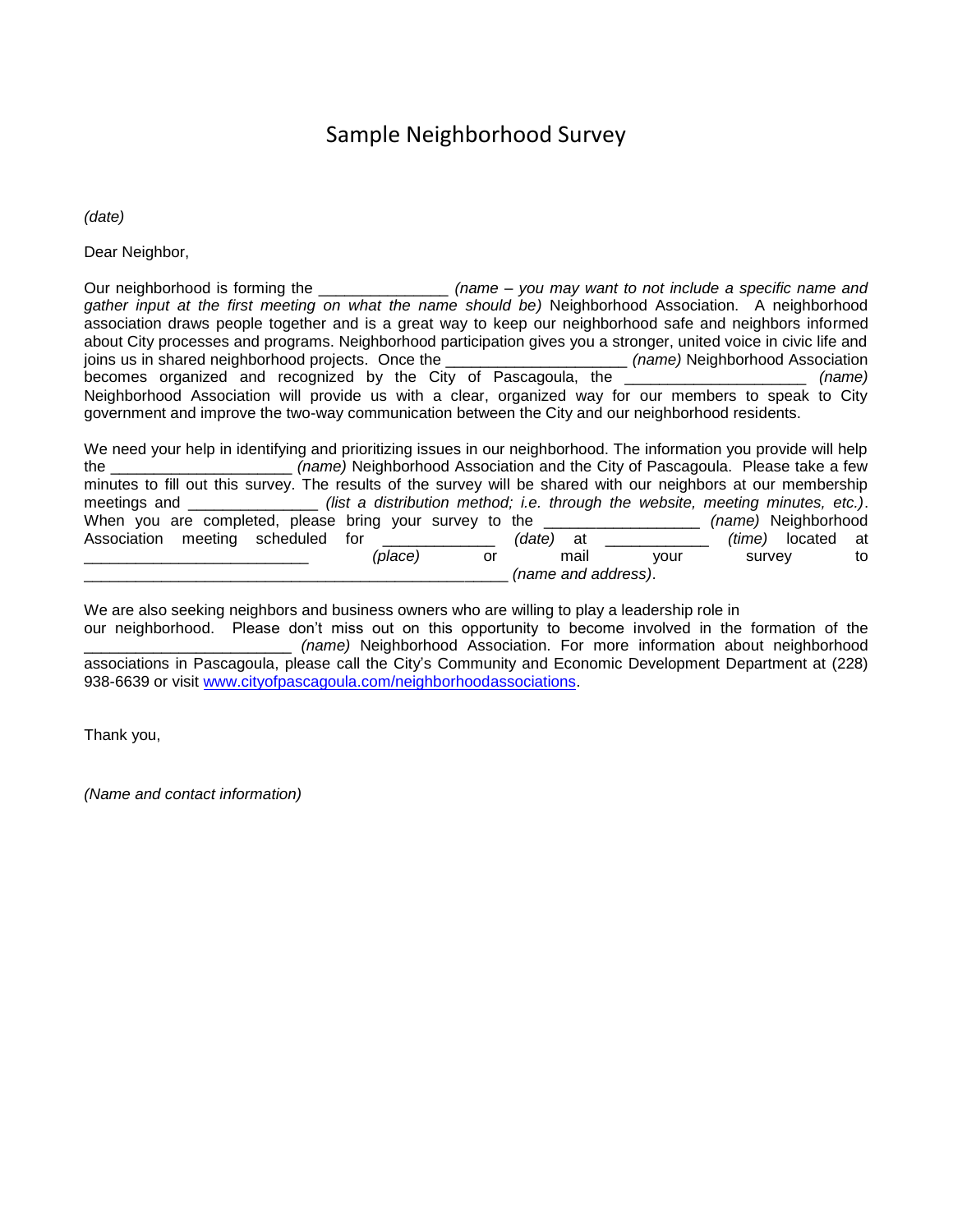## Sample Neighborhood Survey

*(date)*

Dear Neighbor,

Our neighborhood is forming the \_\_\_\_\_\_\_\_\_\_\_\_\_\_\_ *(name – you may want to not include a specific name and gather input at the first meeting on what the name should be)* Neighborhood Association. A neighborhood association draws people together and is a great way to keep our neighborhood safe and neighbors informed about City processes and programs. Neighborhood participation gives you a stronger, united voice in civic life and joins us in shared neighborhood projects. Once the \_\_\_\_\_\_\_\_\_\_\_\_\_\_\_\_\_\_\_\_\_ *(name)* Neighborhood Association becomes organized and recognized by the City of Pascagoula, the \_\_\_\_\_\_\_\_\_\_\_\_\_\_\_\_\_\_\_\_\_ *(name)* Neighborhood Association will provide us with a clear, organized way for our members to speak to City government and improve the two-way communication between the City and our neighborhood residents.

We need your help in identifying and prioritizing issues in our neighborhood. The information you provide will help the \_\_\_\_\_\_\_\_\_\_\_\_\_\_\_\_\_\_\_\_\_ *(name)* Neighborhood Association and the City of Pascagoula. Please take a few minutes to fill out this survey. The results of the survey will be shared with our neighbors at our membership meetings and \_\_\_\_\_\_\_\_\_\_\_\_\_\_\_ *(list a distribution method; i.e. through the website, meeting minutes, etc.)*. When you are completed, please bring your survey to the **the survey in the contact of the vert** *(name)* Neighborhood Association meeting scheduled for  $(date)$  at  $(time)$  located at \_\_\_\_\_\_\_\_\_\_\_\_\_\_\_\_\_\_\_\_\_\_\_\_\_\_ *(place)* or mail your survey to \_\_\_\_\_\_\_\_\_\_\_\_\_\_\_\_\_\_\_\_\_\_\_\_\_\_\_\_\_\_\_\_\_\_\_\_\_\_\_\_\_\_\_\_\_\_\_\_\_ *(name and address)*.

We are also seeking neighbors and business owners who are willing to play a leadership role in

our neighborhood. Please don't miss out on this opportunity to become involved in the formation of the (name) Neighborhood Association. For more information about neighborhood associations in Pascagoula, please call the City's Community and Economic Development Department at (228) 938-6639 or visit [www.cityofpascagoula.com/neighborhoodassociations.](http://www.cityofpascagoula.com/neighborhoodassociations)

Thank you,

*(Name and contact information)*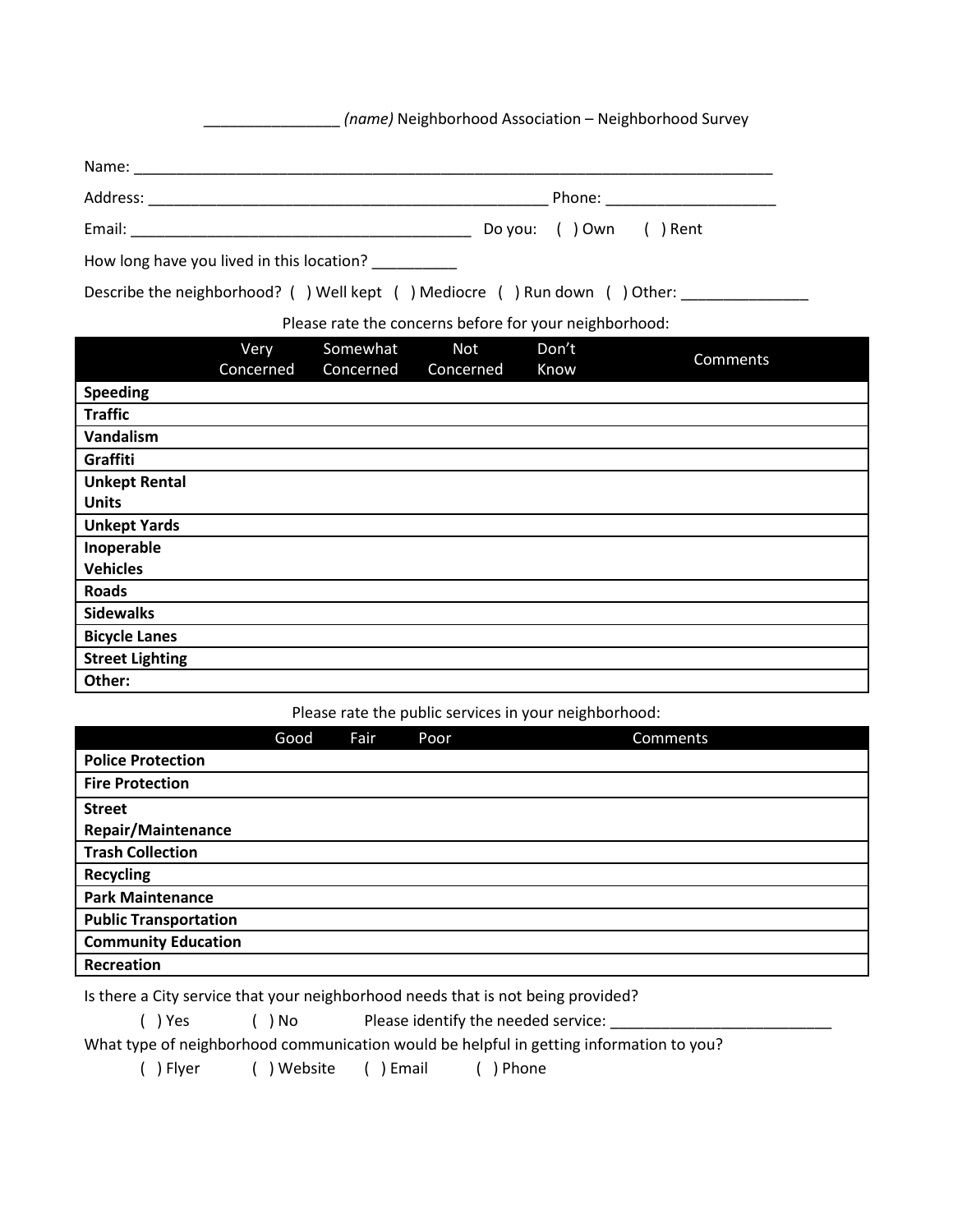## \_\_\_\_\_\_\_\_\_\_\_\_\_\_\_\_ *(name)* Neighborhood Association – Neighborhood Survey Name: \_\_\_\_\_\_\_\_\_\_\_\_\_\_\_\_\_\_\_\_\_\_\_\_\_\_\_\_\_\_\_\_\_\_\_\_\_\_\_\_\_\_\_\_\_\_\_\_\_\_\_\_\_\_\_\_\_\_\_\_\_\_\_\_\_\_\_\_\_\_\_\_\_\_\_ Address: \_\_\_\_\_\_\_\_\_\_\_\_\_\_\_\_\_\_\_\_\_\_\_\_\_\_\_\_\_\_\_\_\_\_\_\_\_\_\_\_\_\_\_\_\_\_\_ Phone: \_\_\_\_\_\_\_\_\_\_\_\_\_\_\_\_\_\_\_\_ Email: \_\_\_\_\_\_\_\_\_\_\_\_\_\_\_\_\_\_\_\_\_\_\_\_\_\_\_\_\_\_\_\_\_\_\_\_\_\_\_\_ Do you: ( ) Own ( ) Rent How long have you lived in this location? Describe the neighborhood? ( ) Well kept ( ) Mediocre ( ) Run down ( ) Other:

Please rate the concerns before for your neighborhood:

|                        | Very      | Somewhat  | <b>Not</b> | Don't | Comments |
|------------------------|-----------|-----------|------------|-------|----------|
|                        | Concerned | Concerned | Concerned  | Know  |          |
| <b>Speeding</b>        |           |           |            |       |          |
| <b>Traffic</b>         |           |           |            |       |          |
| Vandalism              |           |           |            |       |          |
| Graffiti               |           |           |            |       |          |
| <b>Unkept Rental</b>   |           |           |            |       |          |
| <b>Units</b>           |           |           |            |       |          |
| <b>Unkept Yards</b>    |           |           |            |       |          |
| Inoperable             |           |           |            |       |          |
| <b>Vehicles</b>        |           |           |            |       |          |
| <b>Roads</b>           |           |           |            |       |          |
| <b>Sidewalks</b>       |           |           |            |       |          |
| <b>Bicycle Lanes</b>   |           |           |            |       |          |
| <b>Street Lighting</b> |           |           |            |       |          |
| Other:                 |           |           |            |       |          |

Please rate the public services in your neighborhood:

|                              | Good | Fair | Poor | Comments |
|------------------------------|------|------|------|----------|
| <b>Police Protection</b>     |      |      |      |          |
| <b>Fire Protection</b>       |      |      |      |          |
| <b>Street</b>                |      |      |      |          |
| <b>Repair/Maintenance</b>    |      |      |      |          |
| <b>Trash Collection</b>      |      |      |      |          |
| <b>Recycling</b>             |      |      |      |          |
| <b>Park Maintenance</b>      |      |      |      |          |
| <b>Public Transportation</b> |      |      |      |          |
| <b>Community Education</b>   |      |      |      |          |
| Recreation                   |      |      |      |          |

Is there a City service that your neighborhood needs that is not being provided?

() Yes () No Please identify the needed service:

What type of neighborhood communication would be helpful in getting information to you?

( ) Flyer ( ) Website ( ) Email ( ) Phone